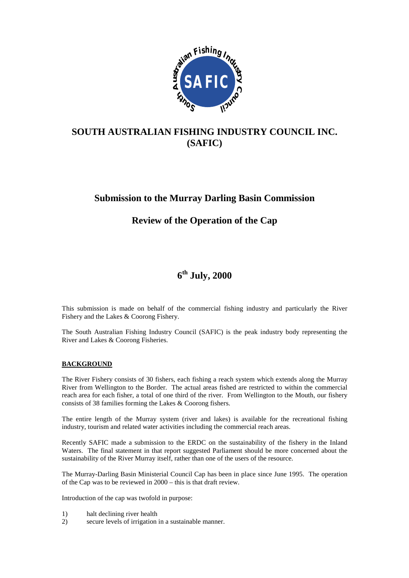

## **SOUTH AUSTRALIAN FISHING INDUSTRY COUNCIL INC. (SAFIC)**

## **Submission to the Murray Darling Basin Commission**

## **Review of the Operation of the Cap**

# **6th July, 2000**

This submission is made on behalf of the commercial fishing industry and particularly the River Fishery and the Lakes & Coorong Fishery.

The South Australian Fishing Industry Council (SAFIC) is the peak industry body representing the River and Lakes & Coorong Fisheries.

## **BACKGROUND**

The River Fishery consists of 30 fishers, each fishing a reach system which extends along the Murray River from Wellington to the Border. The actual areas fished are restricted to within the commercial reach area for each fisher, a total of one third of the river. From Wellington to the Mouth, our fishery consists of 38 families forming the Lakes & Coorong fishers.

The entire length of the Murray system (river and lakes) is available for the recreational fishing industry, tourism and related water activities including the commercial reach areas.

Recently SAFIC made a submission to the ERDC on the sustainability of the fishery in the Inland Waters. The final statement in that report suggested Parliament should be more concerned about the sustainability of the River Murray itself, rather than one of the users of the resource.

The Murray-Darling Basin Ministerial Council Cap has been in place since June 1995. The operation of the Cap was to be reviewed in 2000 – this is that draft review.

Introduction of the cap was twofold in purpose:

- 1) halt declining river health
- 2) secure levels of irrigation in a sustainable manner.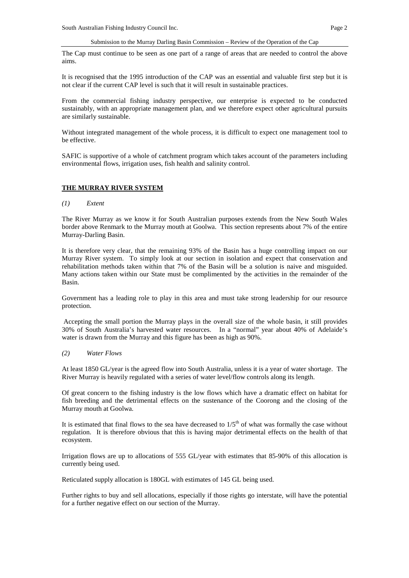The Cap must continue to be seen as one part of a range of areas that are needed to control the above aims.

It is recognised that the 1995 introduction of the CAP was an essential and valuable first step but it is not clear if the current CAP level is such that it will result in sustainable practices.

From the commercial fishing industry perspective, our enterprise is expected to be conducted sustainably, with an appropriate management plan, and we therefore expect other agricultural pursuits are similarly sustainable.

Without integrated management of the whole process, it is difficult to expect one management tool to be effective.

SAFIC is supportive of a whole of catchment program which takes account of the parameters including environmental flows, irrigation uses, fish health and salinity control.

#### **THE MURRAY RIVER SYSTEM**

#### *(1) Extent*

The River Murray as we know it for South Australian purposes extends from the New South Wales border above Renmark to the Murray mouth at Goolwa. This section represents about 7% of the entire Murray-Darling Basin.

It is therefore very clear, that the remaining 93% of the Basin has a huge controlling impact on our Murray River system. To simply look at our section in isolation and expect that conservation and rehabilitation methods taken within that 7% of the Basin will be a solution is naive and misguided. Many actions taken within our State must be complimented by the activities in the remainder of the Basin.

Government has a leading role to play in this area and must take strong leadership for our resource protection.

 Accepting the small portion the Murray plays in the overall size of the whole basin, it still provides 30% of South Australia's harvested water resources. In a "normal" year about 40% of Adelaide's water is drawn from the Murray and this figure has been as high as 90%.

#### *(2) Water Flows*

At least 1850 GL/year is the agreed flow into South Australia, unless it is a year of water shortage. The River Murray is heavily regulated with a series of water level/flow controls along its length.

Of great concern to the fishing industry is the low flows which have a dramatic effect on habitat for fish breeding and the detrimental effects on the sustenance of the Coorong and the closing of the Murray mouth at Goolwa.

It is estimated that final flows to the sea have decreased to  $1/5<sup>th</sup>$  of what was formally the case without regulation. It is therefore obvious that this is having major detrimental effects on the health of that ecosystem.

Irrigation flows are up to allocations of 555 GL/year with estimates that 85-90% of this allocation is currently being used.

Reticulated supply allocation is 180GL with estimates of 145 GL being used.

Further rights to buy and sell allocations, especially if those rights go interstate, will have the potential for a further negative effect on our section of the Murray.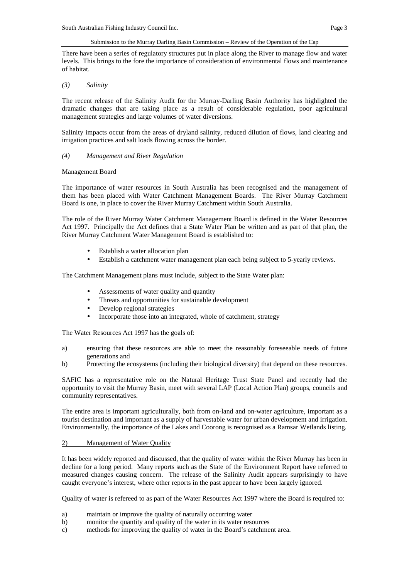There have been a series of regulatory structures put in place along the River to manage flow and water levels. This brings to the fore the importance of consideration of environmental flows and maintenance of habitat.

## *(3) Salinity*

The recent release of the Salinity Audit for the Murray-Darling Basin Authority has highlighted the dramatic changes that are taking place as a result of considerable regulation, poor agricultural management strategies and large volumes of water diversions.

Salinity impacts occur from the areas of dryland salinity, reduced dilution of flows, land clearing and irrigation practices and salt loads flowing across the border.

### *(4) Management and River Regulation*

### Management Board

The importance of water resources in South Australia has been recognised and the management of them has been placed with Water Catchment Management Boards. The River Murray Catchment Board is one, in place to cover the River Murray Catchment within South Australia.

The role of the River Murray Water Catchment Management Board is defined in the Water Resources Act 1997. Principally the Act defines that a State Water Plan be written and as part of that plan, the River Murray Catchment Water Management Board is established to:

- Establish a water allocation plan
- Establish a catchment water management plan each being subject to 5-yearly reviews.

The Catchment Management plans must include, subject to the State Water plan:

- Assessments of water quality and quantity
- Threats and opportunities for sustainable development
- Develop regional strategies
- Incorporate those into an integrated, whole of catchment, strategy

The Water Resources Act 1997 has the goals of:

- a) ensuring that these resources are able to meet the reasonably foreseeable needs of future generations and
- b) Protecting the ecosystems (including their biological diversity) that depend on these resources.

SAFIC has a representative role on the Natural Heritage Trust State Panel and recently had the opportunity to visit the Murray Basin, meet with several LAP (Local Action Plan) groups, councils and community representatives.

The entire area is important agriculturally, both from on-land and on-water agriculture, important as a tourist destination and important as a supply of harvestable water for urban development and irrigation. Environmentally, the importance of the Lakes and Coorong is recognised as a Ramsar Wetlands listing.

## 2) Management of Water Quality

It has been widely reported and discussed, that the quality of water within the River Murray has been in decline for a long period. Many reports such as the State of the Environment Report have referred to measured changes causing concern. The release of the Salinity Audit appears surprisingly to have caught everyone's interest, where other reports in the past appear to have been largely ignored.

Quality of water is refereed to as part of the Water Resources Act 1997 where the Board is required to:

- a) maintain or improve the quality of naturally occurring water
- b) monitor the quantity and quality of the water in its water resources
- c) methods for improving the quality of water in the Board's catchment area.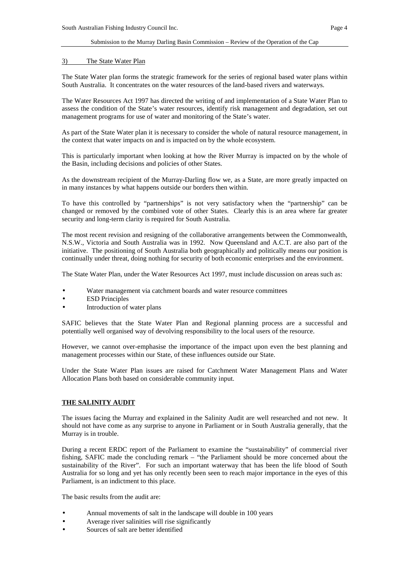## 3) The State Water Plan

The State Water plan forms the strategic framework for the series of regional based water plans within South Australia. It concentrates on the water resources of the land-based rivers and waterways.

The Water Resources Act 1997 has directed the writing of and implementation of a State Water Plan to assess the condition of the State's water resources, identify risk management and degradation, set out management programs for use of water and monitoring of the State's water.

As part of the State Water plan it is necessary to consider the whole of natural resource management, in the context that water impacts on and is impacted on by the whole ecosystem.

This is particularly important when looking at how the River Murray is impacted on by the whole of the Basin, including decisions and policies of other States.

As the downstream recipient of the Murray-Darling flow we, as a State, are more greatly impacted on in many instances by what happens outside our borders then within.

To have this controlled by "partnerships" is not very satisfactory when the "partnership" can be changed or removed by the combined vote of other States. Clearly this is an area where far greater security and long-term clarity is required for South Australia.

The most recent revision and resigning of the collaborative arrangements between the Commonwealth, N.S.W., Victoria and South Australia was in 1992. Now Queensland and A.C.T. are also part of the initiative. The positioning of South Australia both geographically and politically means our position is continually under threat, doing nothing for security of both economic enterprises and the environment.

The State Water Plan, under the Water Resources Act 1997, must include discussion on areas such as:

- Water management via catchment boards and water resource committees
- ESD Principles
- Introduction of water plans

SAFIC believes that the State Water Plan and Regional planning process are a successful and potentially well organised way of devolving responsibility to the local users of the resource.

However, we cannot over-emphasise the importance of the impact upon even the best planning and management processes within our State, of these influences outside our State.

Under the State Water Plan issues are raised for Catchment Water Management Plans and Water Allocation Plans both based on considerable community input.

## **THE SALINITY AUDIT**

The issues facing the Murray and explained in the Salinity Audit are well researched and not new. It should not have come as any surprise to anyone in Parliament or in South Australia generally, that the Murray is in trouble.

During a recent ERDC report of the Parliament to examine the "sustainability" of commercial river fishing, SAFIC made the concluding remark – "the Parliament should be more concerned about the sustainability of the River". For such an important waterway that has been the life blood of South Australia for so long and yet has only recently been seen to reach major importance in the eyes of this Parliament, is an indictment to this place.

The basic results from the audit are:

- Annual movements of salt in the landscape will double in 100 years
- Average river salinities will rise significantly
- Sources of salt are better identified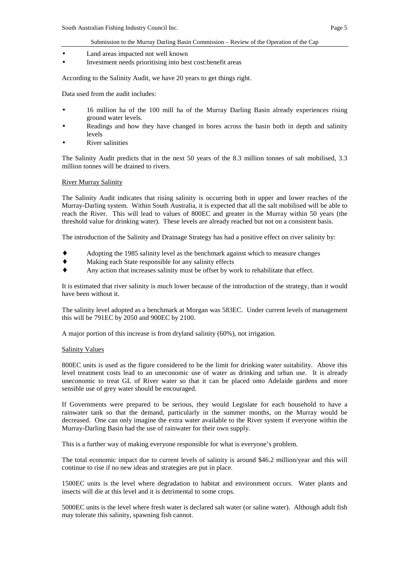- Land areas impacted not well known
- Investment needs prioritising into best cost: benefit areas

According to the Salinity Audit, we have 20 years to get things right.

Data used from the audit includes:

- 16 million ha of the 100 mill ha of the Murray Darling Basin already experiences rising ground water levels.
- Readings and how they have changed in bores across the basin both in depth and salinity levels
- **River salinities**

The Salinity Audit predicts that in the next 50 years of the 8.3 million tonnes of salt mobilised, 3.3 million tonnes will be drained to rivers.

## **River Murray Salinity**

The Salinity Audit indicates that rising salinity is occurring both in upper and lower reaches of the Murray-Darling system. Within South Australia, it is expected that all the salt mobilised will be able to reach the River. This will lead to values of 800EC and greater in the Murray within 50 years (the threshold value for drinking water). These levels are already reached but not on a consistent basis.

The introduction of the Salinity and Drainage Strategy has had a positive effect on river salinity by:

- Adopting the 1985 salinity level as the benchmark against which to measure changes
- Making each State responsible for any salinity effects
- Any action that increases salinity must be offset by work to rehabilitate that effect.

It is estimated that river salinity is much lower because of the introduction of the strategy, than it would have been without it.

The salinity level adopted as a benchmark at Morgan was 583EC. Under current levels of management this will be 791EC by 2050 and 900EC by 2100.

A major portion of this increase is from dryland salinity (60%), not irrigation.

#### Salinity Values

800EC units is used as the figure considered to be the limit for drinking water suitability. Above this level treatment costs lead to an uneconomic use of water as drinking and urban use. It is already uneconomic to treat GL of River water so that it can be placed onto Adelaide gardens and more sensible use of grey water should be encouraged.

If Governments were prepared to be serious, they would Legislate for each household to have a rainwater tank so that the demand, particularly in the summer months, on the Murray would be decreased. One can only imagine the extra water available to the River system if everyone within the Murray-Darling Basin had the use of rainwater for their own supply.

This is a further way of making everyone responsible for what is everyone's problem.

The total economic impact due to current levels of salinity is around \$46.2 million/year and this will continue to rise if no new ideas and strategies are put in place.

1500EC units is the level where degradation to habitat and environment occurs. Water plants and insects will die at this level and it is detrimental to some crops.

5000EC units is the level where fresh water is declared salt water (or saline water). Although adult fish may tolerate this salinity, spawning fish cannot.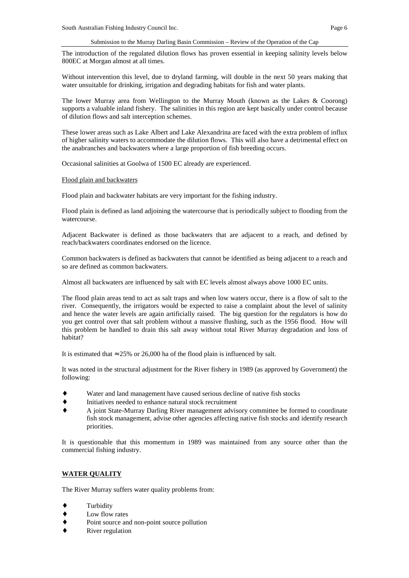The introduction of the regulated dilution flows has proven essential in keeping salinity levels below 800EC at Morgan almost at all times.

Without intervention this level, due to dryland farming, will double in the next 50 years making that water unsuitable for drinking, irrigation and degrading habitats for fish and water plants.

The lower Murray area from Wellington to the Murray Mouth (known as the Lakes & Coorong) supports a valuable inland fishery. The salinities in this region are kept basically under control because of dilution flows and salt interception schemes.

These lower areas such as Lake Albert and Lake Alexandrina are faced with the extra problem of influx of higher salinity waters to accommodate the dilution flows. This will also have a detrimental effect on the anabranches and backwaters where a large proportion of fish breeding occurs.

Occasional salinities at Goolwa of 1500 EC already are experienced.

#### Flood plain and backwaters

Flood plain and backwater habitats are very important for the fishing industry.

Flood plain is defined as land adjoining the watercourse that is periodically subject to flooding from the watercourse.

Adjacent Backwater is defined as those backwaters that are adjacent to a reach, and defined by reach/backwaters coordinates endorsed on the licence.

Common backwaters is defined as backwaters that cannot be identified as being adjacent to a reach and so are defined as common backwaters.

Almost all backwaters are influenced by salt with EC levels almost always above 1000 EC units.

The flood plain areas tend to act as salt traps and when low waters occur, there is a flow of salt to the river. Consequently, the irrigators would be expected to raise a complaint about the level of salinity and hence the water levels are again artificially raised. The big question for the regulators is how do you get control over that salt problem without a massive flushing, such as the 1956 flood. How will this problem be handled to drain this salt away without total River Murray degradation and loss of habitat?

It is estimated that  $\approx 25\%$  or 26,000 ha of the flood plain is influenced by salt.

It was noted in the structural adjustment for the River fishery in 1989 (as approved by Government) the following:

- Water and land management have caused serious decline of native fish stocks
- Initiatives needed to enhance natural stock recruitment
- ♦ A joint State-Murray Darling River management advisory committee be formed to coordinate fish stock management, advise other agencies affecting native fish stocks and identify research priorities.

It is questionable that this momentum in 1989 was maintained from any source other than the commercial fishing industry.

## **WATER QUALITY**

The River Murray suffers water quality problems from:

- Turbidity
- Low flow rates
- Point source and non-point source pollution
- River regulation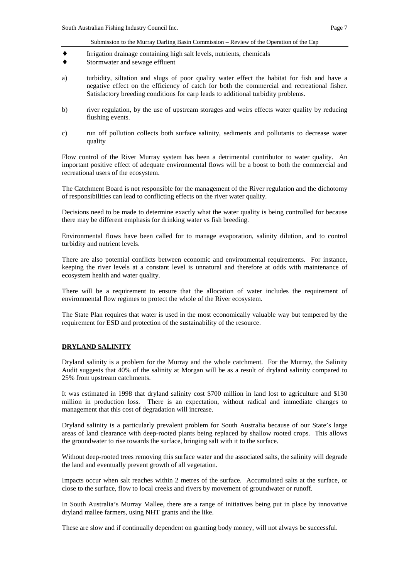- ♦ Irrigation drainage containing high salt levels, nutrients, chemicals
- ♦ Stormwater and sewage effluent
- a) turbidity, siltation and slugs of poor quality water effect the habitat for fish and have a negative effect on the efficiency of catch for both the commercial and recreational fisher. Satisfactory breeding conditions for carp leads to additional turbidity problems.
- b) river regulation, by the use of upstream storages and weirs effects water quality by reducing flushing events.
- c) run off pollution collects both surface salinity, sediments and pollutants to decrease water quality

Flow control of the River Murray system has been a detrimental contributor to water quality. An important positive effect of adequate environmental flows will be a boost to both the commercial and recreational users of the ecosystem.

The Catchment Board is not responsible for the management of the River regulation and the dichotomy of responsibilities can lead to conflicting effects on the river water quality.

Decisions need to be made to determine exactly what the water quality is being controlled for because there may be different emphasis for drinking water vs fish breeding.

Environmental flows have been called for to manage evaporation, salinity dilution, and to control turbidity and nutrient levels.

There are also potential conflicts between economic and environmental requirements. For instance, keeping the river levels at a constant level is unnatural and therefore at odds with maintenance of ecosystem health and water quality.

There will be a requirement to ensure that the allocation of water includes the requirement of environmental flow regimes to protect the whole of the River ecosystem.

The State Plan requires that water is used in the most economically valuable way but tempered by the requirement for ESD and protection of the sustainability of the resource.

## **DRYLAND SALINITY**

Dryland salinity is a problem for the Murray and the whole catchment. For the Murray, the Salinity Audit suggests that 40% of the salinity at Morgan will be as a result of dryland salinity compared to 25% from upstream catchments.

It was estimated in 1998 that dryland salinity cost \$700 million in land lost to agriculture and \$130 million in production loss. There is an expectation, without radical and immediate changes to management that this cost of degradation will increase.

Dryland salinity is a particularly prevalent problem for South Australia because of our State's large areas of land clearance with deep-rooted plants being replaced by shallow rooted crops. This allows the groundwater to rise towards the surface, bringing salt with it to the surface.

Without deep-rooted trees removing this surface water and the associated salts, the salinity will degrade the land and eventually prevent growth of all vegetation.

Impacts occur when salt reaches within 2 metres of the surface. Accumulated salts at the surface, or close to the surface, flow to local creeks and rivers by movement of groundwater or runoff.

In South Australia's Murray Mallee, there are a range of initiatives being put in place by innovative dryland mallee farmers, using NHT grants and the like.

These are slow and if continually dependent on granting body money, will not always be successful.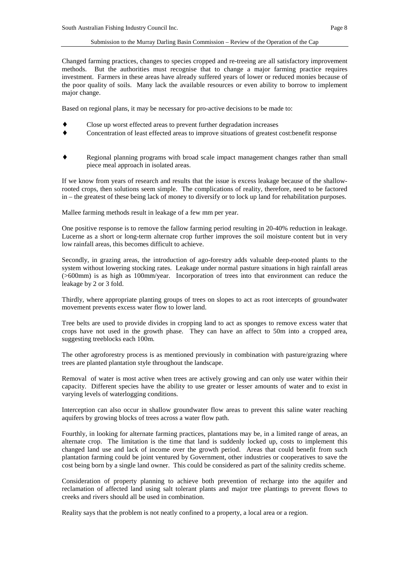Changed farming practices, changes to species cropped and re-treeing are all satisfactory improvement methods. But the authorities must recognise that to change a major farming practice requires investment. Farmers in these areas have already suffered years of lower or reduced monies because of the poor quality of soils. Many lack the available resources or even ability to borrow to implement major change.

Based on regional plans, it may be necessary for pro-active decisions to be made to:

- Close up worst effected areas to prevent further degradation increases
- Concentration of least effected areas to improve situations of greatest cost:benefit response
- ♦ Regional planning programs with broad scale impact management changes rather than small piece meal approach in isolated areas.

If we know from years of research and results that the issue is excess leakage because of the shallowrooted crops, then solutions seem simple. The complications of reality, therefore, need to be factored in – the greatest of these being lack of money to diversify or to lock up land for rehabilitation purposes.

Mallee farming methods result in leakage of a few mm per year.

One positive response is to remove the fallow farming period resulting in 20-40% reduction in leakage. Lucerne as a short or long-term alternate crop further improves the soil moisture content but in very low rainfall areas, this becomes difficult to achieve.

Secondly, in grazing areas, the introduction of ago-forestry adds valuable deep-rooted plants to the system without lowering stocking rates. Leakage under normal pasture situations in high rainfall areas (>600mm) is as high as 100mm/year. Incorporation of trees into that environment can reduce the leakage by 2 or 3 fold.

Thirdly, where appropriate planting groups of trees on slopes to act as root intercepts of groundwater movement prevents excess water flow to lower land.

Tree belts are used to provide divides in cropping land to act as sponges to remove excess water that crops have not used in the growth phase. They can have an affect to 50m into a cropped area, suggesting treeblocks each 100m.

The other agroforestry process is as mentioned previously in combination with pasture/grazing where trees are planted plantation style throughout the landscape.

Removal of water is most active when trees are actively growing and can only use water within their capacity. Different species have the ability to use greater or lesser amounts of water and to exist in varying levels of waterlogging conditions.

Interception can also occur in shallow groundwater flow areas to prevent this saline water reaching aquifers by growing blocks of trees across a water flow path.

Fourthly, in looking for alternate farming practices, plantations may be, in a limited range of areas, an alternate crop. The limitation is the time that land is suddenly locked up, costs to implement this changed land use and lack of income over the growth period. Areas that could benefit from such plantation farming could be joint ventured by Government, other industries or cooperatives to save the cost being born by a single land owner. This could be considered as part of the salinity credits scheme.

Consideration of property planning to achieve both prevention of recharge into the aquifer and reclamation of affected land using salt tolerant plants and major tree plantings to prevent flows to creeks and rivers should all be used in combination.

Reality says that the problem is not neatly confined to a property, a local area or a region.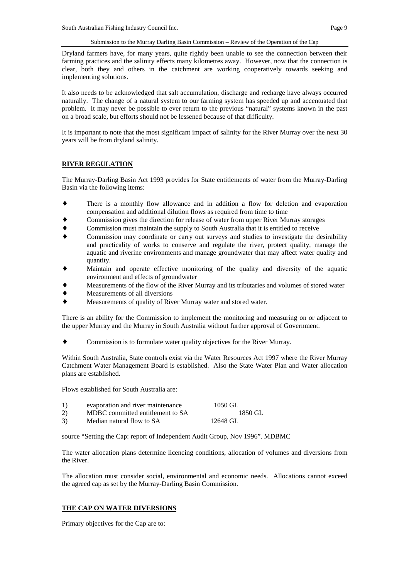Dryland farmers have, for many years, quite rightly been unable to see the connection between their farming practices and the salinity effects many kilometres away. However, now that the connection is clear, both they and others in the catchment are working cooperatively towards seeking and implementing solutions.

It also needs to be acknowledged that salt accumulation, discharge and recharge have always occurred naturally. The change of a natural system to our farming system has speeded up and accentuated that problem. It may never be possible to ever return to the previous "natural" systems known in the past on a broad scale, but efforts should not be lessened because of that difficulty.

It is important to note that the most significant impact of salinity for the River Murray over the next 30 years will be from dryland salinity.

## **RIVER REGULATION**

The Murray-Darling Basin Act 1993 provides for State entitlements of water from the Murray-Darling Basin via the following items:

- ♦ There is a monthly flow allowance and in addition a flow for deletion and evaporation compensation and additional dilution flows as required from time to time
- Commission gives the direction for release of water from upper River Murray storages
- Commission must maintain the supply to South Australia that it is entitled to receive
- Commission may coordinate or carry out surveys and studies to investigate the desirability and practicality of works to conserve and regulate the river, protect quality, manage the aquatic and riverine environments and manage groundwater that may affect water quality and quantity.
- Maintain and operate effective monitoring of the quality and diversity of the aquatic environment and effects of groundwater
- Measurements of the flow of the River Murray and its tributaries and volumes of stored water
- Measurements of all diversions
- Measurements of quality of River Murray water and stored water.

There is an ability for the Commission to implement the monitoring and measuring on or adjacent to the upper Murray and the Murray in South Australia without further approval of Government.

♦ Commission is to formulate water quality objectives for the River Murray.

Within South Australia, State controls exist via the Water Resources Act 1997 where the River Murray Catchment Water Management Board is established. Also the State Water Plan and Water allocation plans are established.

Flows established for South Australia are:

| 1) | evaporation and river maintenance | 1050 GL  |
|----|-----------------------------------|----------|
| 2) | MDBC committed entitlement to SA  | 1850 GL  |
| 3) | Median natural flow to SA         | 12648 GL |

source "Setting the Cap: report of Independent Audit Group, Nov 1996". MDBMC

The water allocation plans determine licencing conditions, allocation of volumes and diversions from the River.

The allocation must consider social, environmental and economic needs. Allocations cannot exceed the agreed cap as set by the Murray-Darling Basin Commission.

## **THE CAP ON WATER DIVERSIONS**

Primary objectives for the Cap are to: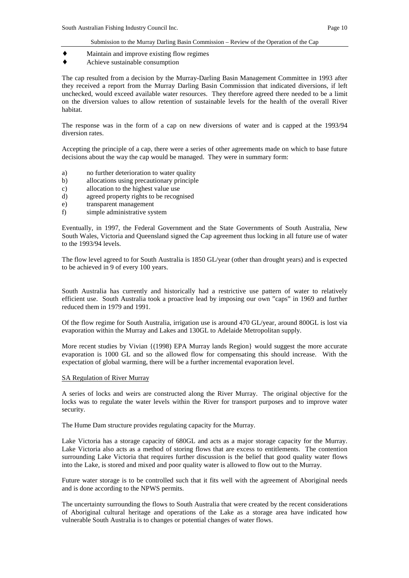- ♦ Maintain and improve existing flow regimes
- ♦ Achieve sustainable consumption

The cap resulted from a decision by the Murray-Darling Basin Management Committee in 1993 after they received a report from the Murray Darling Basin Commission that indicated diversions, if left unchecked, would exceed available water resources. They therefore agreed there needed to be a limit on the diversion values to allow retention of sustainable levels for the health of the overall River habitat.

The response was in the form of a cap on new diversions of water and is capped at the 1993/94 diversion rates.

Accepting the principle of a cap, there were a series of other agreements made on which to base future decisions about the way the cap would be managed. They were in summary form:

- a) no further deterioration to water quality
- b) allocations using precautionary principle
- c) allocation to the highest value use
- d) agreed property rights to be recognised
- e) transparent management
- f) simple administrative system

Eventually, in 1997, the Federal Government and the State Governments of South Australia, New South Wales, Victoria and Queensland signed the Cap agreement thus locking in all future use of water to the 1993/94 levels.

The flow level agreed to for South Australia is 1850 GL/year (other than drought years) and is expected to be achieved in 9 of every 100 years.

South Australia has currently and historically had a restrictive use pattern of water to relatively efficient use. South Australia took a proactive lead by imposing our own "caps" in 1969 and further reduced them in 1979 and 1991.

Of the flow regime for South Australia, irrigation use is around 470 GL/year, around 800GL is lost via evaporation within the Murray and Lakes and 130GL to Adelaide Metropolitan supply.

More recent studies by Vivian  $\{(1998)$  EPA Murray lands Region would suggest the more accurate evaporation is 1000 GL and so the allowed flow for compensating this should increase. With the expectation of global warming, there will be a further incremental evaporation level.

#### SA Regulation of River Murray

A series of locks and weirs are constructed along the River Murray. The original objective for the locks was to regulate the water levels within the River for transport purposes and to improve water security.

The Hume Dam structure provides regulating capacity for the Murray.

Lake Victoria has a storage capacity of 680GL and acts as a major storage capacity for the Murray. Lake Victoria also acts as a method of storing flows that are excess to entitlements. The contention surrounding Lake Victoria that requires further discussion is the belief that good quality water flows into the Lake, is stored and mixed and poor quality water is allowed to flow out to the Murray.

Future water storage is to be controlled such that it fits well with the agreement of Aboriginal needs and is done according to the NPWS permits.

The uncertainty surrounding the flows to South Australia that were created by the recent considerations of Aboriginal cultural heritage and operations of the Lake as a storage area have indicated how vulnerable South Australia is to changes or potential changes of water flows.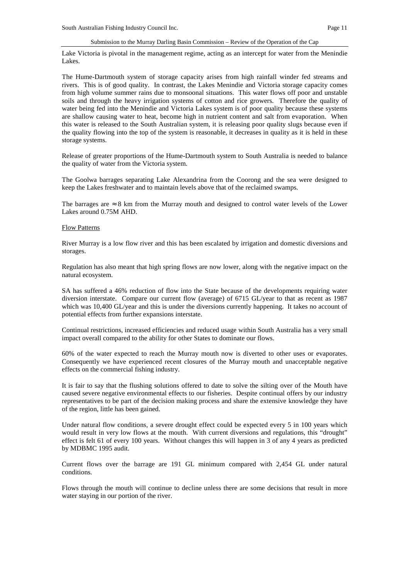Lake Victoria is pivotal in the management regime, acting as an intercept for water from the Menindie Lakes.

The Hume-Dartmouth system of storage capacity arises from high rainfall winder fed streams and rivers. This is of good quality. In contrast, the Lakes Menindie and Victoria storage capacity comes from high volume summer rains due to monsoonal situations. This water flows off poor and unstable soils and through the heavy irrigation systems of cotton and rice growers. Therefore the quality of water being fed into the Menindie and Victoria Lakes system is of poor quality because these systems are shallow causing water to heat, become high in nutrient content and salt from evaporation. When this water is released to the South Australian system, it is releasing poor quality slugs because even if the quality flowing into the top of the system is reasonable, it decreases in quality as it is held in these storage systems.

Release of greater proportions of the Hume-Dartmouth system to South Australia is needed to balance the quality of water from the Victoria system.

The Goolwa barrages separating Lake Alexandrina from the Coorong and the sea were designed to keep the Lakes freshwater and to maintain levels above that of the reclaimed swamps.

The barrages are  $\approx 8$  km from the Murray mouth and designed to control water levels of the Lower Lakes around 0.75M AHD.

#### Flow Patterns

River Murray is a low flow river and this has been escalated by irrigation and domestic diversions and storages.

Regulation has also meant that high spring flows are now lower, along with the negative impact on the natural ecosystem.

SA has suffered a 46% reduction of flow into the State because of the developments requiring water diversion interstate. Compare our current flow (average) of 6715 GL/year to that as recent as 1987 which was 10,400 GL/year and this is under the diversions currently happening. It takes no account of potential effects from further expansions interstate.

Continual restrictions, increased efficiencies and reduced usage within South Australia has a very small impact overall compared to the ability for other States to dominate our flows.

60% of the water expected to reach the Murray mouth now is diverted to other uses or evaporates. Consequently we have experienced recent closures of the Murray mouth and unacceptable negative effects on the commercial fishing industry.

It is fair to say that the flushing solutions offered to date to solve the silting over of the Mouth have caused severe negative environmental effects to our fisheries. Despite continual offers by our industry representatives to be part of the decision making process and share the extensive knowledge they have of the region, little has been gained.

Under natural flow conditions, a severe drought effect could be expected every 5 in 100 years which would result in very low flows at the mouth. With current diversions and regulations, this "drought" effect is felt 61 of every 100 years. Without changes this will happen in 3 of any 4 years as predicted by MDBMC 1995 audit.

Current flows over the barrage are 191 GL minimum compared with 2,454 GL under natural conditions.

Flows through the mouth will continue to decline unless there are some decisions that result in more water staying in our portion of the river.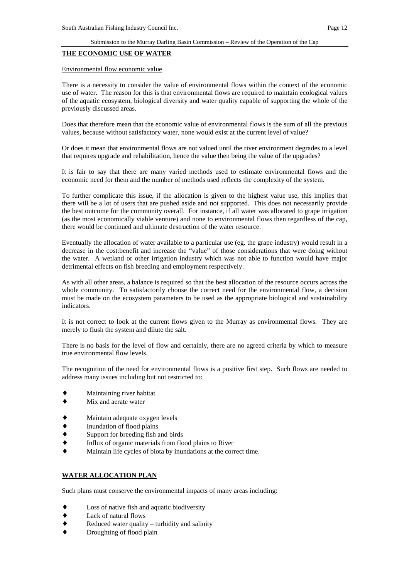#### **THE ECONOMIC USE OF WATER**

#### Environmental flow economic value

There is a necessity to consider the value of environmental flows within the context of the economic use of water. The reason for this is that environmental flows are required to maintain ecological values of the aquatic ecosystem, biological diversity and water quality capable of supporting the whole of the previously discussed areas.

Does that therefore mean that the economic value of environmental flows is the sum of all the previous values, because without satisfactory water, none would exist at the current level of value?

Or does it mean that environmental flows are not valued until the river environment degrades to a level that requires upgrade and rehabilitation, hence the value then being the value of the upgrades?

It is fair to say that there are many varied methods used to estimate environmental flows and the economic need for them and the number of methods used reflects the complexity of the system.

To further complicate this issue, if the allocation is given to the highest value use, this implies that there will be a lot of users that are pushed aside and not supported. This does not necessarily provide the best outcome for the community overall. For instance, if all water was allocated to grape irrigation (as the most economically viable venture) and none to environmental flows then regardless of the cap, there would be continued and ultimate destruction of the water resource.

Eventually the allocation of water available to a particular use (eg. the grape industry) would result in a decrease in the cost:benefit and increase the "value" of those considerations that were doing without the water. A wetland or other irrigation industry which was not able to function would have major detrimental effects on fish breeding and employment respectively.

As with all other areas, a balance is required so that the best allocation of the resource occurs across the whole community. To satisfactorily choose the correct need for the environmental flow, a decision must be made on the ecosystem parameters to be used as the appropriate biological and sustainability indicators.

It is not correct to look at the current flows given to the Murray as environmental flows. They are merely to flush the system and dilute the salt.

There is no basis for the level of flow and certainly, there are no agreed criteria by which to measure true environmental flow levels.

The recognition of the need for environmental flows is a positive first step. Such flows are needed to address many issues including but not restricted to:

- Maintaining river habitat
- Mix and aerate water
- Maintain adequate oxygen levels
- Inundation of flood plains
- Support for breeding fish and birds
- Influx of organic materials from flood plains to River
- Maintain life cycles of biota by inundations at the correct time.

## **WATER ALLOCATION PLAN**

Such plans must conserve the environmental impacts of many areas including:

- Loss of native fish and aquatic biodiversity
- ♦ Lack of natural flows
- $Reduced water quality turbidity and salinity$
- Droughting of flood plain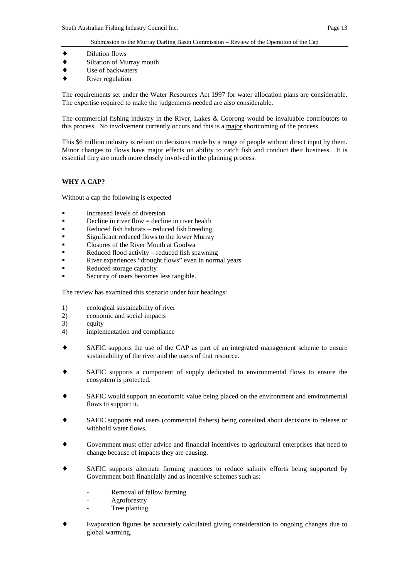- ♦ Dilution flows
- ♦ Siltation of Murray mouth
- ♦ Use of backwaters
- **River regulation**

The requirements set under the Water Resources Act 1997 for water allocation plans are considerable. The expertise required to make the judgements needed are also considerable.

The commercial fishing industry in the River, Lakes & Coorong would be invaluable contributors to this process. No involvement currently occurs and this is a major shortcoming of the process.

This \$6 million industry is reliant on decisions made by a range of people without direct input by them. Minor changes to flows have major effects on ability to catch fish and conduct their business. It is essential they are much more closely involved in the planning process.

## **WHY A CAP?**

Without a cap the following is expected

- **Increased levels of diversion**
- $\blacksquare$  Decline in river flow = decline in river health
- ! Reduced fish habitats reduced fish breeding
- ! Significant reduced flows to the lower Murray
- ! Closures of the River Mouth at Goolwa
- Reduced flood activity reduced fish spawning
- River experiences "drought flows" even in normal years
- Reduced storage capacity
- Security of users becomes less tangible.

The review has examined this scenario under four headings:

- 1) ecological sustainability of river
- 2) economic and social impacts
- 3) equity
- 4) implementation and compliance
- ♦ SAFIC supports the use of the CAP as part of an integrated management scheme to ensure sustainability of the river and the users of that resource.
- SAFIC supports a component of supply dedicated to environmental flows to ensure the ecosystem is protected.
- SAFIC would support an economic value being placed on the environment and environmental flows to support it.
- SAFIC supports end users (commercial fishers) being consulted about decisions to release or withhold water flows.
- Government must offer advice and financial incentives to agricultural enterprises that need to change because of impacts they are causing.
- SAFIC supports alternate farming practices to reduce salinity efforts being supported by Government both financially and as incentive schemes such as:
	- Removal of fallow farming
	- **Agroforestry**
	- Tree planting
- ♦ Evaporation figures be accurately calculated giving consideration to ongoing changes due to global warming.